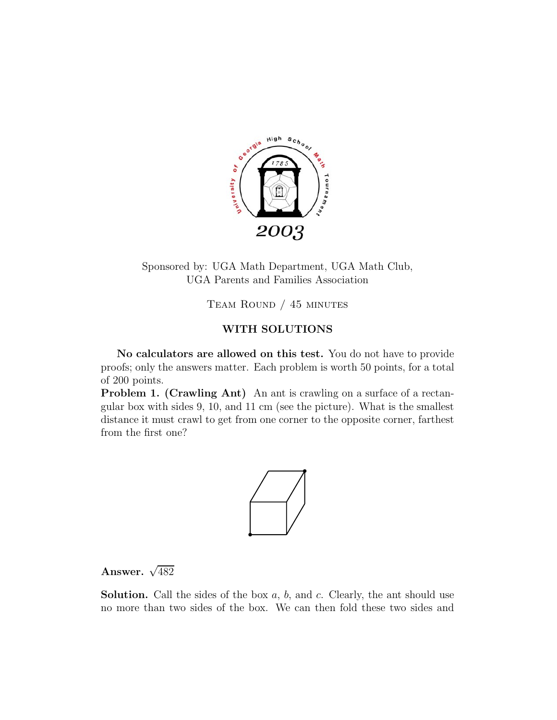

Sponsored by: UGA Math Department, UGA Math Club, UGA Parents and Families Association

Team Round / 45 minutes

## **WITH SOLUTIONS**

**No calculators are allowed on this test.** You do not have to provide proofs; only the answers matter. Each problem is worth 50 points, for a total of 200 points.

**Problem 1. (Crawling Ant)** An ant is crawling on a surface of a rectangular box with sides 9, 10, and 11 cm (see the picture). What is the smallest distance it must crawl to get from one corner to the opposite corner, farthest from the first one?



## Answer.  $\sqrt{482}$

**Solution.** Call the sides of the box *a*, *b*, and *c*. Clearly, the ant should use no more than two sides of the box. We can then fold these two sides and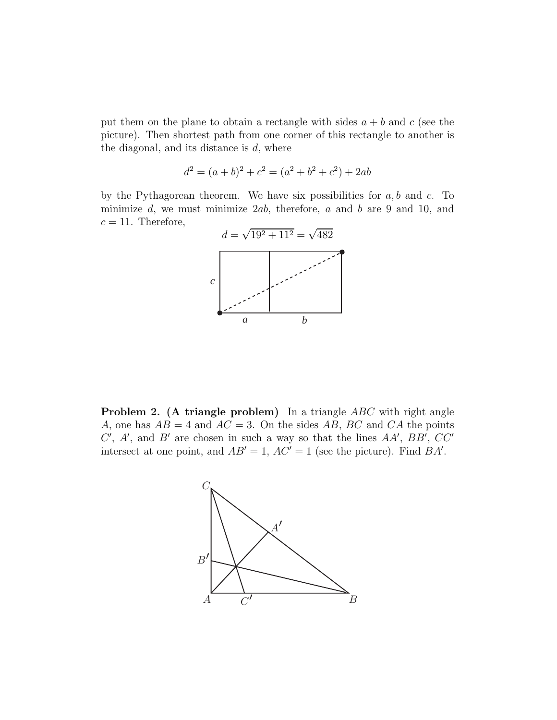put them on the plane to obtain a rectangle with sides  $a + b$  and  $c$  (see the picture). Then shortest path from one corner of this rectangle to another is the diagonal, and its distance is *d*, where

$$
d^{2} = (a+b)^{2} + c^{2} = (a^{2} + b^{2} + c^{2}) + 2ab
$$

by the Pythagorean theorem. We have six possibilities for *a, b* and *c*. To minimize *d*, we must minimize 2*ab*, therefore, *a* and *b* are 9 and 10, and  $c = 11$ . Therefore,



**Problem 2.** (A triangle problem) In a triangle *ABC* with right angle *A*, one has  $AB = 4$  and  $AC = 3$ . On the sides AB, BC and CA the points  $C'$ ,  $A'$ , and  $B'$  are chosen in such a way so that the lines  $AA'$ ,  $BB'$ ,  $CC'$ intersect at one point, and  $AB' = 1$ ,  $AC' = 1$  (see the picture). Find  $BA'$ .

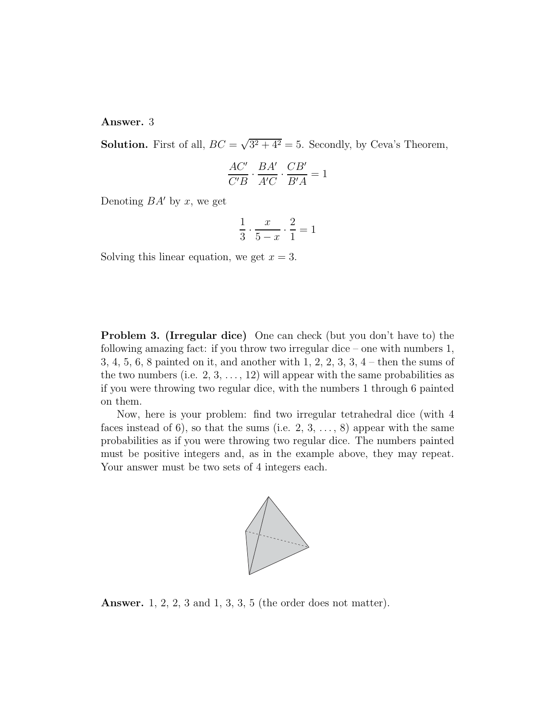**Answer.** 3

**Solution.** First of all,  $BC = \sqrt{3^2 + 4^2} = 5$ . Secondly, by Ceva's Theorem,

$$
\frac{AC'}{C'B} \cdot \frac{BA'}{A'C} \cdot \frac{CB'}{B'A} = 1
$$

Denoting  $BA'$  by x, we get

$$
\frac{1}{3} \cdot \frac{x}{5-x} \cdot \frac{2}{1} = 1
$$

Solving this linear equation, we get  $x = 3$ .

**Problem 3. (Irregular dice)** One can check (but you don't have to) the following amazing fact: if you throw two irregular dice – one with numbers 1, 3, 4, 5, 6, 8 painted on it, and another with 1, 2, 2, 3, 3, 4 – then the sums of the two numbers (i.e.  $2, 3, \ldots, 12$ ) will appear with the same probabilities as if you were throwing two regular dice, with the numbers 1 through 6 painted on them.

Now, here is your problem: find two irregular tetrahedral dice (with 4 faces instead of 6), so that the sums (i.e.  $2, 3, \ldots, 8$ ) appear with the same probabilities as if you were throwing two regular dice. The numbers painted must be positive integers and, as in the example above, they may repeat. Your answer must be two sets of 4 integers each.



**Answer.** 1, 2, 2, 3 and 1, 3, 3, 5 (the order does not matter).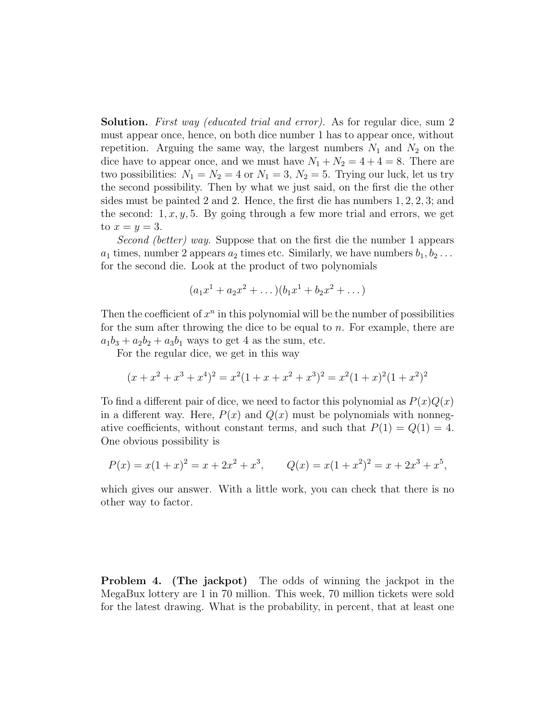**Solution.** *First way (educated trial and error).* As for regular dice, sum 2 must appear once, hence, on both dice number 1 has to appear once, without repetition. Arguing the same way, the largest numbers  $N_1$  and  $N_2$  on the dice have to appear once, and we must have  $N_1 + N_2 = 4 + 4 = 8$ . There are two possibilities:  $N_1 = N_2 = 4$  or  $N_1 = 3$ ,  $N_2 = 5$ . Trying our luck, let us try the second possibility. Then by what we just said, on the first die the other sides must be painted 2 and 2. Hence, the first die has numbers 1*,* 2*,* 2*,* 3; and the second:  $1, x, y, 5$ . By going through a few more trial and errors, we get to  $x = y = 3$ .

*Second (better) way.* Suppose that on the first die the number 1 appears  $a_1$  times, number 2 appears  $a_2$  times etc. Similarly, we have numbers  $b_1, b_2 \ldots$ for the second die. Look at the product of two polynomials

$$
(a_1x^1 + a_2x^2 + \dots)(b_1x^1 + b_2x^2 + \dots)
$$

Then the coefficient of  $x^n$  in this polynomial will be the number of possibilities for the sum after throwing the dice to be equal to *n*. For example, there are  $a_1b_3 + a_2b_2 + a_3b_1$  ways to get 4 as the sum, etc.

For the regular dice, we get in this way

$$
(x+x2+x3+x4)2 = x2(1+x+x2+x3)2 = x2(1+x)2(1+x2)2
$$

To find a different pair of dice, we need to factor this polynomial as  $P(x)Q(x)$ in a different way. Here,  $P(x)$  and  $Q(x)$  must be polynomials with nonnegative coefficients, without constant terms, and such that  $P(1) = Q(1) = 4$ . One obvious possibility is

$$
P(x) = x(1+x)^2 = x + 2x^2 + x^3, \qquad Q(x) = x(1+x^2)^2 = x + 2x^3 + x^5,
$$

which gives our answer. With a little work, you can check that there is no other way to factor.

**Problem 4. (The jackpot)** The odds of winning the jackpot in the MegaBux lottery are 1 in 70 million. This week, 70 million tickets were sold for the latest drawing. What is the probability, in percent, that at least one